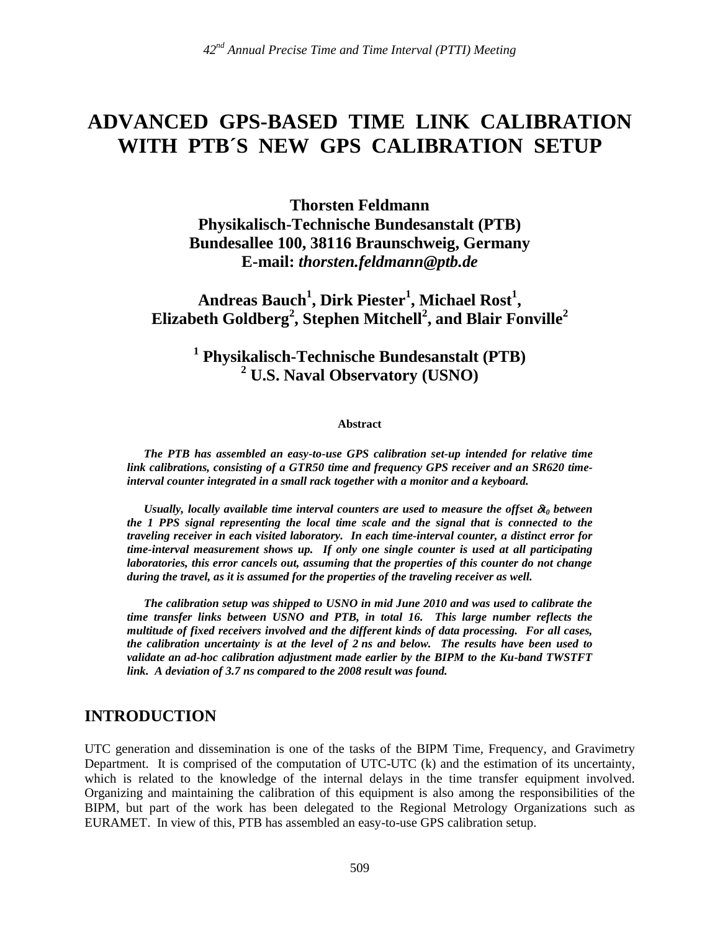# **ADVANCED GPS-BASED TIME LINK CALIBRATION WITH PTB´S NEW GPS CALIBRATION SETUP**

**Thorsten Feldmann Physikalisch-Technische Bundesanstalt (PTB) Bundesallee 100, 38116 Braunschweig, Germany E-mail:** *thorsten.feldmann@ptb.de*

**Andreas Bauch<sup>1</sup> , Dirk Piester<sup>1</sup> , Michael Rost<sup>1</sup> , Elizabeth Goldberg<sup>2</sup> , Stephen Mitchell 2 , and Blair Fonville<sup>2</sup>**

# **1 Physikalisch-Technische Bundesanstalt (PTB) <sup>2</sup> U.S. Naval Observatory (USNO)**

**Abstract**

*The PTB has assembled an easy-to-use GPS calibration set-up intended for relative time link calibrations, consisting of a GTR50 time and frequency GPS receiver and an SR620 timeinterval counter integrated in a small rack together with a monitor and a keyboard.*

*Usually, locally available time interval counters are used to measure the offset*  $\mathfrak{a}_0$  *between the 1 PPS signal representing the local time scale and the signal that is connected to the traveling receiver in each visited laboratory. In each time-interval counter, a distinct error for time-interval measurement shows up. If only one single counter is used at all participating laboratories, this error cancels out, assuming that the properties of this counter do not change during the travel, as it is assumed for the properties of the traveling receiver as well.*

*The calibration setup was shipped to USNO in mid June 2010 and was used to calibrate the time transfer links between USNO and PTB, in total 16. This large number reflects the multitude of fixed receivers involved and the different kinds of data processing. For all cases, the calibration uncertainty is at the level of 2 ns and below. The results have been used to validate an ad-hoc calibration adjustment made earlier by the BIPM to the Ku-band TWSTFT link. A deviation of 3.7 ns compared to the 2008 result was found.*

### **INTRODUCTION**

UTC generation and dissemination is one of the tasks of the BIPM Time, Frequency, and Gravimetry Department. It is comprised of the computation of UTC-UTC (k) and the estimation of its uncertainty, which is related to the knowledge of the internal delays in the time transfer equipment involved. Organizing and maintaining the calibration of this equipment is also among the responsibilities of the BIPM, but part of the work has been delegated to the Regional Metrology Organizations such as EURAMET. In view of this, PTB has assembled an easy-to-use GPS calibration setup.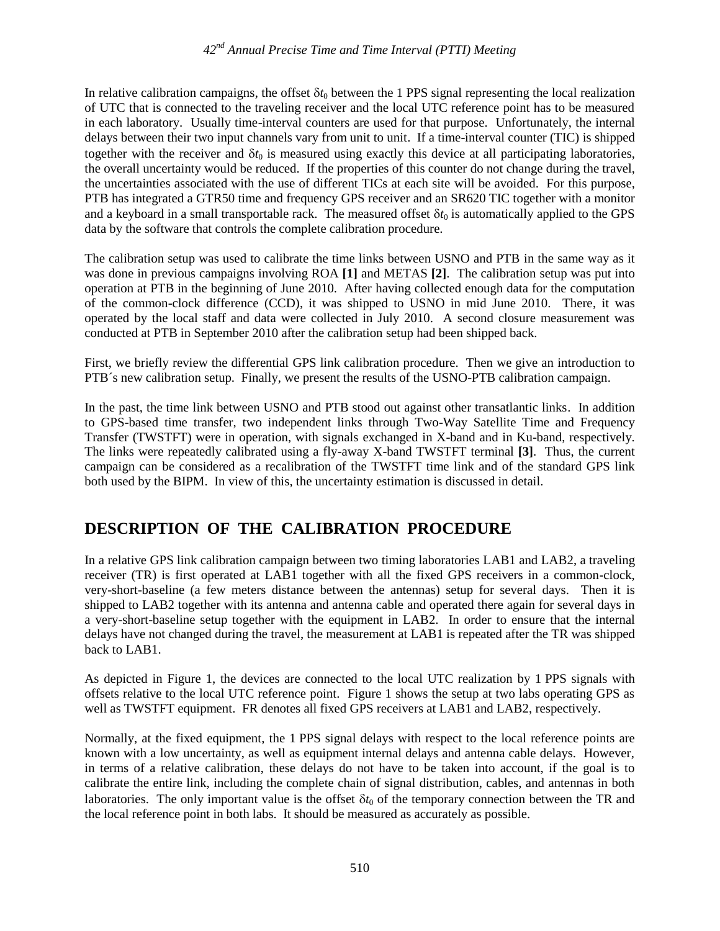In relative calibration campaigns, the offset  $\delta t_0$  between the 1 PPS signal representing the local realization of UTC that is connected to the traveling receiver and the local UTC reference point has to be measured in each laboratory. Usually time-interval counters are used for that purpose. Unfortunately, the internal delays between their two input channels vary from unit to unit. If a time-interval counter (TIC) is shipped together with the receiver and  $\delta t_0$  is measured using exactly this device at all participating laboratories, the overall uncertainty would be reduced. If the properties of this counter do not change during the travel, the uncertainties associated with the use of different TICs at each site will be avoided. For this purpose, PTB has integrated a GTR50 time and frequency GPS receiver and an SR620 TIC together with a monitor and a keyboard in a small transportable rack. The measured offset  $\delta t_0$  is automatically applied to the GPS data by the software that controls the complete calibration procedure.

The calibration setup was used to calibrate the time links between USNO and PTB in the same way as it was done in previous campaigns involving ROA **[1]** and METAS **[2]**. The calibration setup was put into operation at PTB in the beginning of June 2010. After having collected enough data for the computation of the common-clock difference (CCD), it was shipped to USNO in mid June 2010. There, it was operated by the local staff and data were collected in July 2010. A second closure measurement was conducted at PTB in September 2010 after the calibration setup had been shipped back.

First, we briefly review the differential GPS link calibration procedure. Then we give an introduction to PTB´s new calibration setup. Finally, we present the results of the USNO-PTB calibration campaign.

In the past, the time link between USNO and PTB stood out against other transatlantic links. In addition to GPS-based time transfer, two independent links through Two-Way Satellite Time and Frequency Transfer (TWSTFT) were in operation, with signals exchanged in X-band and in Ku-band, respectively. The links were repeatedly calibrated using a fly-away X-band TWSTFT terminal **[3]**. Thus, the current campaign can be considered as a recalibration of the TWSTFT time link and of the standard GPS link both used by the BIPM. In view of this, the uncertainty estimation is discussed in detail.

# **DESCRIPTION OF THE CALIBRATION PROCEDURE**

In a relative GPS link calibration campaign between two timing laboratories LAB1 and LAB2, a traveling receiver (TR) is first operated at LAB1 together with all the fixed GPS receivers in a common-clock, very-short-baseline (a few meters distance between the antennas) setup for several days. Then it is shipped to LAB2 together with its antenna and antenna cable and operated there again for several days in a very-short-baseline setup together with the equipment in LAB2. In order to ensure that the internal delays have not changed during the travel, the measurement at LAB1 is repeated after the TR was shipped back to LAB1.

As depicted in Figure 1, the devices are connected to the local UTC realization by 1 PPS signals with offsets relative to the local UTC reference point. Figure 1 shows the setup at two labs operating GPS as well as TWSTFT equipment. FR denotes all fixed GPS receivers at LAB1 and LAB2, respectively.

Normally, at the fixed equipment, the 1 PPS signal delays with respect to the local reference points are known with a low uncertainty, as well as equipment internal delays and antenna cable delays. However, in terms of a relative calibration, these delays do not have to be taken into account, if the goal is to calibrate the entire link, including the complete chain of signal distribution, cables, and antennas in both laboratories. The only important value is the offset  $\delta t_0$  of the temporary connection between the TR and the local reference point in both labs. It should be measured as accurately as possible.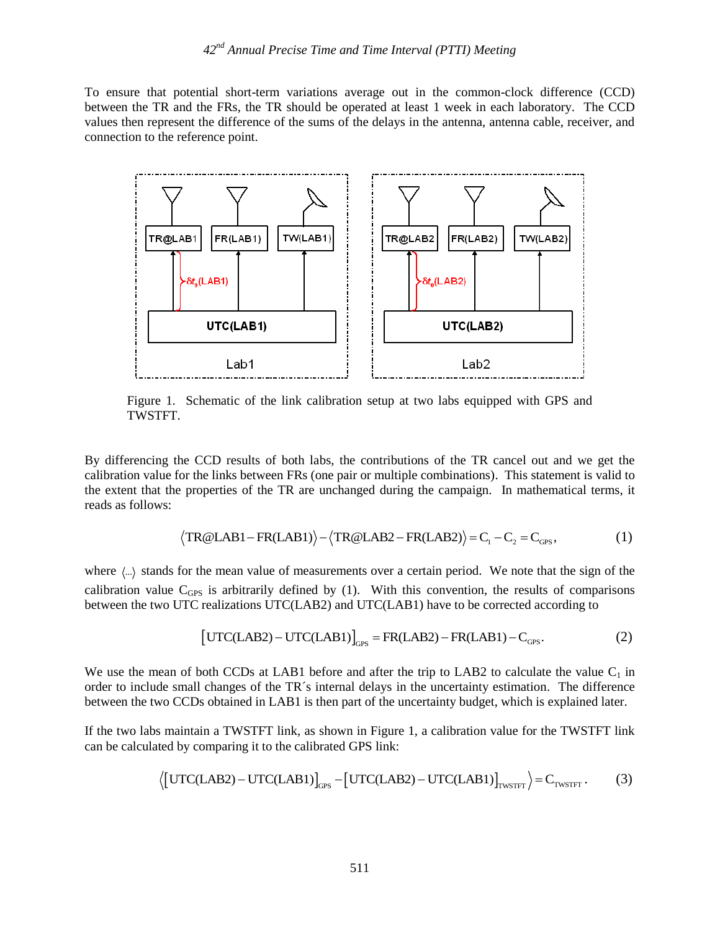To ensure that potential short-term variations average out in the common-clock difference (CCD) between the TR and the FRs, the TR should be operated at least 1 week in each laboratory. The CCD values then represent the difference of the sums of the delays in the antenna, antenna cable, receiver, and connection to the reference point.



Figure 1. Schematic of the link calibration setup at two labs equipped with GPS and TWSTFT.

By differencing the CCD results of both labs, the contributions of the TR cancel out and we get the calibration value for the links between FRs (one pair or multiple combinations). This statement is valid to the extent that the properties of the TR are unchanged during the campaign. In mathematical terms, it reads as follows: properties of the TK are unchanged during the campaign. In mathematical<br>TR@LAB1 - FR(LAB1)  $\rangle - \langle \text{TR@LAB2} - \text{FR(LAB2)} \rangle = C_1 - C_2 = C_{\text{GPS}}$ ,

$$
\langle TR@LAB1 - FR(LAB1) \rangle - \langle TR@LAB2 - FR(LAB2) \rangle = C_1 - C_2 = C_{\text{GPS}},\tag{1}
$$

where  $\langle \ldots \rangle$  stands for the mean value of measurements over a certain period. We note that the sign of the calibration value  $C<sub>GPS</sub>$  is arbitrarily defined by (1). With this convention, the results of comparisons between the two UTC realizations UTC(LAB2) and UTC(LAB1) have to be corrected according to<br>  $[\text{UTC(LAB2)} - \text{UTC(LAB1)}]_{\text{GPS}} = \text{FR(LAB2)} - \text{FR(LAB1)} - \text{C}_{\text{GPS}}.$ 

$$
\left[\text{UTC(LAB2)} - \text{UTC(LAB1)}\right]_{\text{cps}} = \text{FR(LAB2)} - \text{FR(LAB1)} - \text{C}_{\text{cps}}.\tag{2}
$$

We use the mean of both CCDs at LAB1 before and after the trip to LAB2 to calculate the value  $C_1$  in order to include small changes of the TR´s internal delays in the uncertainty estimation. The difference between the two CCDs obtained in LAB1 is then part of the uncertainty budget, which is explained later.

If the two labs maintain a TWSTFT link, as shown in Figure 1, a calibration value for the TWSTFT link can be calculated by comparing it to the calibrated GPS link:<br>  $\langle \text{[UTC(LAB2) – UTC(LAB1)}]_{\text{GPS}} - \text{[UTC(LAB2) – UTC(LAB1)}]_{\text{TWSTFT}} \rangle = C_{$ can be calculated by comparing it to the calibrated GPS link:

$$
\langle \left[ \text{UTC(LAB2)} - \text{UTC(LAB1)} \right]_{\text{GPS}} - \left[ \text{UTC(LAB2)} - \text{UTC(LAB1)} \right]_{\text{TWSTFT}} \rangle = C_{\text{TWSTFT}}. \tag{3}
$$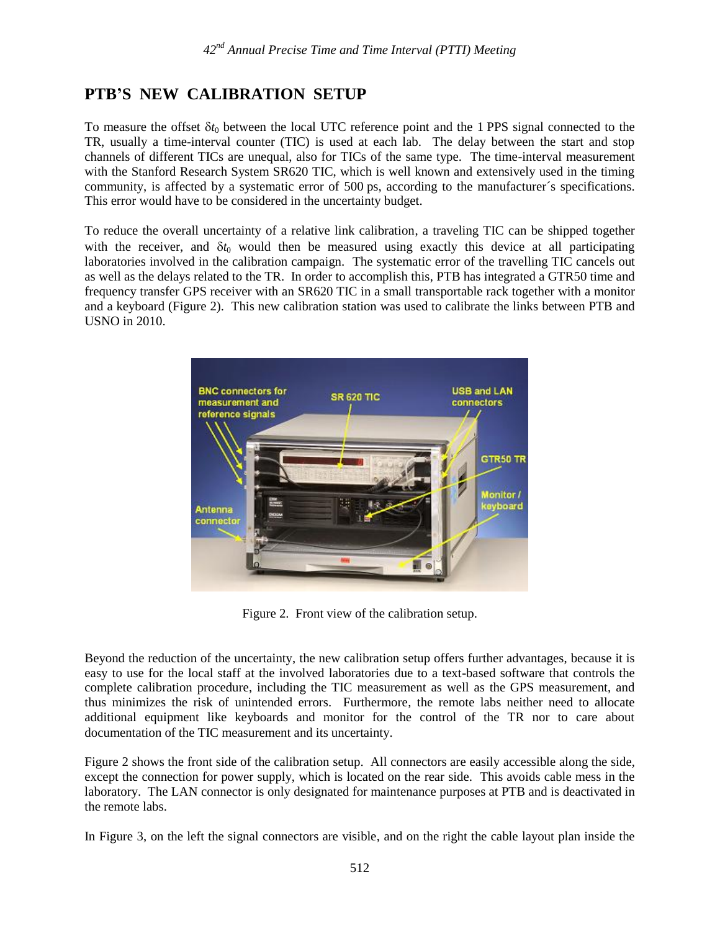# **PTB'S NEW CALIBRATION SETUP**

To measure the offset  $\delta t_0$  between the local UTC reference point and the 1 PPS signal connected to the TR, usually a time-interval counter (TIC) is used at each lab. The delay between the start and stop channels of different TICs are unequal, also for TICs of the same type. The time-interval measurement with the Stanford Research System SR620 TIC, which is well known and extensively used in the timing community, is affected by a systematic error of 500 ps, according to the manufacturer´s specifications. This error would have to be considered in the uncertainty budget.

To reduce the overall uncertainty of a relative link calibration, a traveling TIC can be shipped together with the receiver, and  $\delta t_0$  would then be measured using exactly this device at all participating laboratories involved in the calibration campaign. The systematic error of the travelling TIC cancels out as well as the delays related to the TR. In order to accomplish this, PTB has integrated a GTR50 time and frequency transfer GPS receiver with an SR620 TIC in a small transportable rack together with a monitor and a keyboard (Figure 2). This new calibration station was used to calibrate the links between PTB and USNO in 2010.



Figure 2. Front view of the calibration setup.

Beyond the reduction of the uncertainty, the new calibration setup offers further advantages, because it is easy to use for the local staff at the involved laboratories due to a text-based software that controls the complete calibration procedure, including the TIC measurement as well as the GPS measurement, and thus minimizes the risk of unintended errors. Furthermore, the remote labs neither need to allocate additional equipment like keyboards and monitor for the control of the TR nor to care about documentation of the TIC measurement and its uncertainty.

Figure 2 shows the front side of the calibration setup. All connectors are easily accessible along the side, except the connection for power supply, which is located on the rear side. This avoids cable mess in the laboratory. The LAN connector is only designated for maintenance purposes at PTB and is deactivated in the remote labs.

In Figure 3, on the left the signal connectors are visible, and on the right the cable layout plan inside the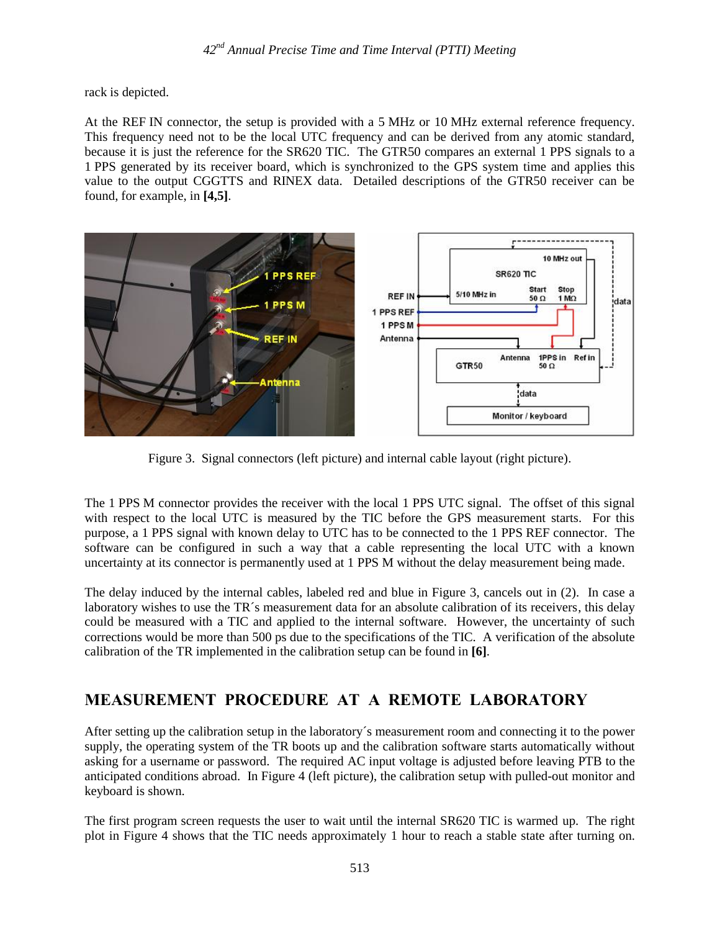rack is depicted.

At the REF IN connector, the setup is provided with a 5 MHz or 10 MHz external reference frequency. This frequency need not to be the local UTC frequency and can be derived from any atomic standard, because it is just the reference for the SR620 TIC. The GTR50 compares an external 1 PPS signals to a 1 PPS generated by its receiver board, which is synchronized to the GPS system time and applies this value to the output CGGTTS and RINEX data. Detailed descriptions of the GTR50 receiver can be found, for example, in **[4,5]**.



Figure 3. Signal connectors (left picture) and internal cable layout (right picture).

The 1 PPS M connector provides the receiver with the local 1 PPS UTC signal. The offset of this signal with respect to the local UTC is measured by the TIC before the GPS measurement starts. For this purpose, a 1 PPS signal with known delay to UTC has to be connected to the 1 PPS REF connector. The software can be configured in such a way that a cable representing the local UTC with a known uncertainty at its connector is permanently used at 1 PPS M without the delay measurement being made.

The delay induced by the internal cables, labeled red and blue in Figure 3, cancels out in (2). In case a laboratory wishes to use the TR<sup>'s</sup> measurement data for an absolute calibration of its receivers, this delay could be measured with a TIC and applied to the internal software. However, the uncertainty of such corrections would be more than 500 ps due to the specifications of the TIC. A verification of the absolute calibration of the TR implemented in the calibration setup can be found in **[6]**.

# **MEASUREMENT PROCEDURE AT A REMOTE LABORATORY**

After setting up the calibration setup in the laboratory´s measurement room and connecting it to the power supply, the operating system of the TR boots up and the calibration software starts automatically without asking for a username or password. The required AC input voltage is adjusted before leaving PTB to the anticipated conditions abroad. In Figure 4 (left picture), the calibration setup with pulled-out monitor and keyboard is shown.

The first program screen requests the user to wait until the internal SR620 TIC is warmed up. The right plot in Figure 4 shows that the TIC needs approximately 1 hour to reach a stable state after turning on.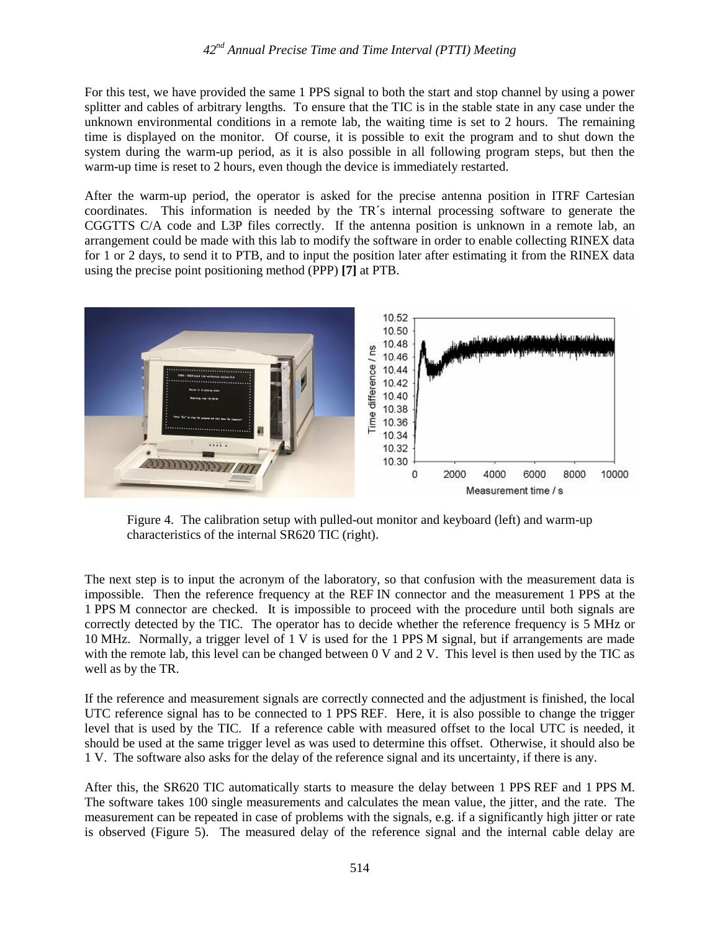For this test, we have provided the same 1 PPS signal to both the start and stop channel by using a power splitter and cables of arbitrary lengths. To ensure that the TIC is in the stable state in any case under the unknown environmental conditions in a remote lab, the waiting time is set to 2 hours. The remaining time is displayed on the monitor. Of course, it is possible to exit the program and to shut down the system during the warm-up period, as it is also possible in all following program steps, but then the warm-up time is reset to 2 hours, even though the device is immediately restarted.

After the warm-up period, the operator is asked for the precise antenna position in ITRF Cartesian coordinates. This information is needed by the TR´s internal processing software to generate the CGGTTS C/A code and L3P files correctly. If the antenna position is unknown in a remote lab, an arrangement could be made with this lab to modify the software in order to enable collecting RINEX data for 1 or 2 days, to send it to PTB, and to input the position later after estimating it from the RINEX data using the precise point positioning method (PPP) **[7]** at PTB.



Figure 4. The calibration setup with pulled-out monitor and keyboard (left) and warm-up characteristics of the internal SR620 TIC (right).

The next step is to input the acronym of the laboratory, so that confusion with the measurement data is impossible. Then the reference frequency at the REF IN connector and the measurement 1 PPS at the 1 PPS M connector are checked. It is impossible to proceed with the procedure until both signals are correctly detected by the TIC. The operator has to decide whether the reference frequency is 5 MHz or 10 MHz. Normally, a trigger level of 1 V is used for the 1 PPS M signal, but if arrangements are made with the remote lab, this level can be changed between 0 V and 2 V. This level is then used by the TIC as well as by the TR.

If the reference and measurement signals are correctly connected and the adjustment is finished, the local UTC reference signal has to be connected to 1 PPS REF. Here, it is also possible to change the trigger level that is used by the TIC. If a reference cable with measured offset to the local UTC is needed, it should be used at the same trigger level as was used to determine this offset. Otherwise, it should also be 1 V. The software also asks for the delay of the reference signal and its uncertainty, if there is any.

After this, the SR620 TIC automatically starts to measure the delay between 1 PPS REF and 1 PPS M. The software takes 100 single measurements and calculates the mean value, the jitter, and the rate. The measurement can be repeated in case of problems with the signals, e.g. if a significantly high jitter or rate is observed (Figure 5). The measured delay of the reference signal and the internal cable delay are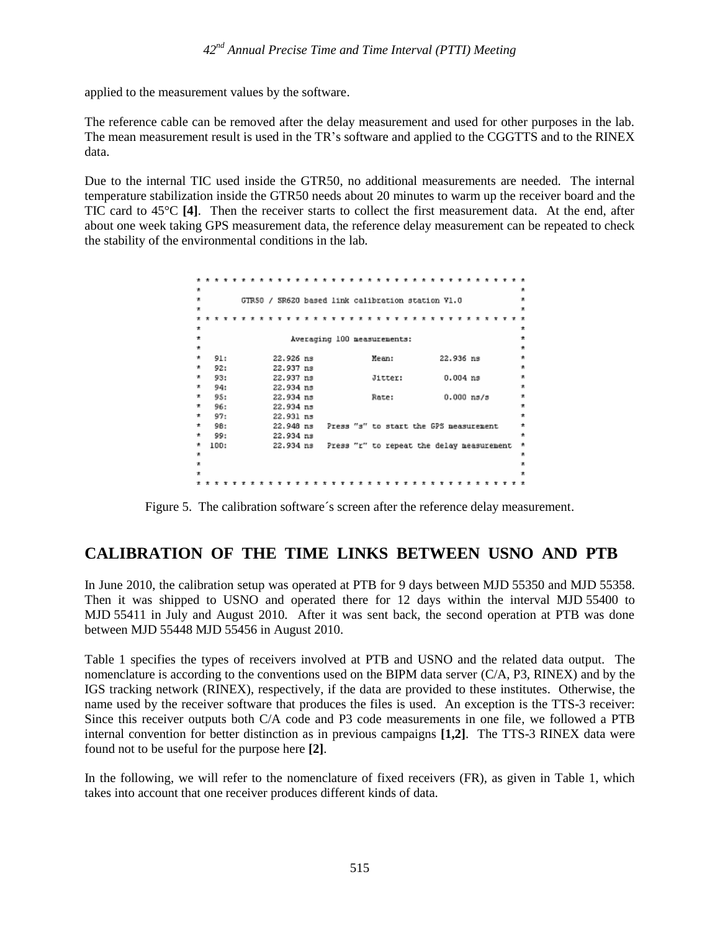applied to the measurement values by the software.

The reference cable can be removed after the delay measurement and used for other purposes in the lab. The mean measurement result is used in the TR's software and applied to the CGGTTS and to the RINEX data.

Due to the internal TIC used inside the GTR50, no additional measurements are needed. The internal temperature stabilization inside the GTR50 needs about 20 minutes to warm up the receiver board and the TIC card to 45°C **[4]**. Then the receiver starts to collect the first measurement data. At the end, after about one week taking GPS measurement data, the reference delay measurement can be repeated to check the stability of the environmental conditions in the lab.



Figure 5. The calibration software´s screen after the reference delay measurement.

### **CALIBRATION OF THE TIME LINKS BETWEEN USNO AND PTB**

In June 2010, the calibration setup was operated at PTB for 9 days between MJD 55350 and MJD 55358. Then it was shipped to USNO and operated there for 12 days within the interval MJD 55400 to MJD 55411 in July and August 2010. After it was sent back, the second operation at PTB was done between MJD 55448 MJD 55456 in August 2010.

Table 1 specifies the types of receivers involved at PTB and USNO and the related data output. The nomenclature is according to the conventions used on the BIPM data server (C/A, P3, RINEX) and by the IGS tracking network (RINEX), respectively, if the data are provided to these institutes. Otherwise, the name used by the receiver software that produces the files is used. An exception is the TTS-3 receiver: Since this receiver outputs both C/A code and P3 code measurements in one file, we followed a PTB internal convention for better distinction as in previous campaigns **[1,2]**. The TTS-3 RINEX data were found not to be useful for the purpose here **[2]**.

In the following, we will refer to the nomenclature of fixed receivers (FR), as given in Table 1, which takes into account that one receiver produces different kinds of data.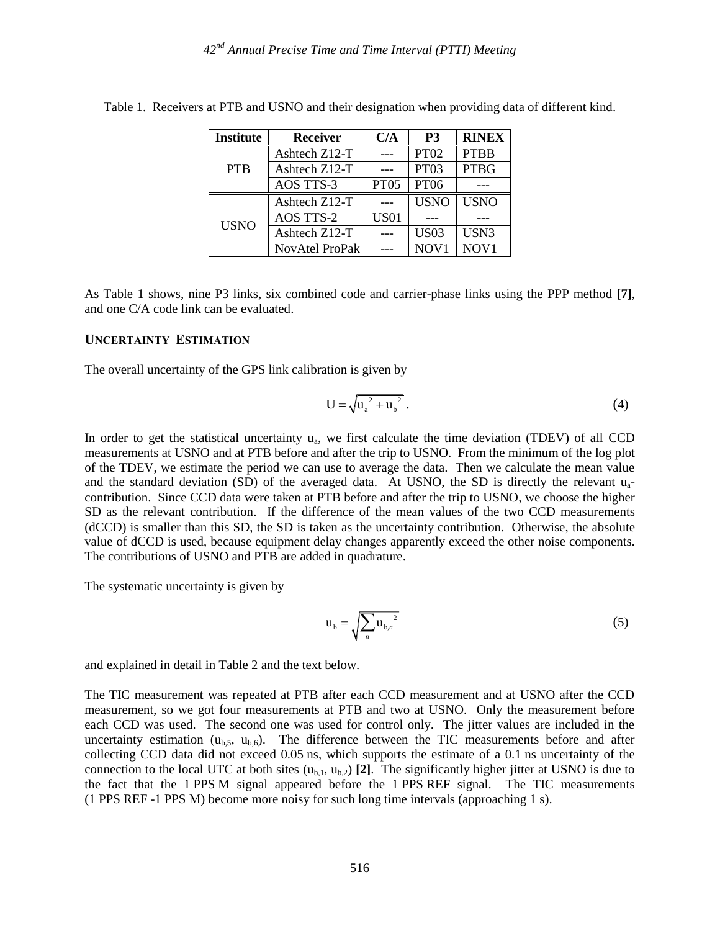| <b>Institute</b> | <b>Receiver</b>  | C/A         | P <sub>3</sub> | <b>RINEX</b>     |
|------------------|------------------|-------------|----------------|------------------|
| <b>PTB</b>       | Ashtech Z12-T    |             | <b>PT02</b>    | <b>PTBB</b>      |
|                  | Ashtech Z12-T    |             | PT03           | <b>PTBG</b>      |
|                  | <b>AOS TTS-3</b> | <b>PT05</b> | <b>PT06</b>    |                  |
| <b>USNO</b>      | Ashtech Z12-T    |             | <b>USNO</b>    | <b>USNO</b>      |
|                  | <b>AOS TTS-2</b> | <b>US01</b> |                |                  |
|                  | Ashtech Z12-T    |             | <b>US03</b>    | USN3             |
|                  | NovAtel ProPak   |             | NOV1           | NOV <sub>1</sub> |

Table 1. Receivers at PTB and USNO and their designation when providing data of different kind.

As Table 1 shows, nine P3 links, six combined code and carrier-phase links using the PPP method **[7]**, and one C/A code link can be evaluated.

#### **UNCERTAINTY ESTIMATION**

The overall uncertainty of the GPS link calibration is given by

$$
U = \sqrt{u_a^2 + u_b^2} \,. \tag{4}
$$

In order to get the statistical uncertainty  $u_a$ , we first calculate the time deviation (TDEV) of all CCD measurements at USNO and at PTB before and after the trip to USNO. From the minimum of the log plot of the TDEV, we estimate the period we can use to average the data. Then we calculate the mean value and the standard deviation (SD) of the averaged data. At USNO, the SD is directly the relevant  $u_{a-}$ contribution. Since CCD data were taken at PTB before and after the trip to USNO, we choose the higher SD as the relevant contribution. If the difference of the mean values of the two CCD measurements (dCCD) is smaller than this SD, the SD is taken as the uncertainty contribution. Otherwise, the absolute value of dCCD is used, because equipment delay changes apparently exceed the other noise components. The contributions of USNO and PTB are added in quadrature.

The systematic uncertainty is given by

$$
\mathbf{u}_{\mathbf{b}} = \sqrt{\sum_{n} \mathbf{u}_{\mathbf{b},n}^{2}} \tag{5}
$$

and explained in detail in Table 2 and the text below.

The TIC measurement was repeated at PTB after each CCD measurement and at USNO after the CCD measurement, so we got four measurements at PTB and two at USNO. Only the measurement before each CCD was used. The second one was used for control only. The jitter values are included in the uncertainty estimation  $(u_{b,5}, u_{b,6})$ . The difference between the TIC measurements before and after collecting CCD data did not exceed 0.05 ns, which supports the estimate of a 0.1 ns uncertainty of the connection to the local UTC at both sites  $(u_{b,1}, u_{b,2})$  [2]. The significantly higher jitter at USNO is due to the fact that the 1 PPS M signal appeared before the 1 PPS REF signal. The TIC measurements (1 PPS REF -1 PPS M) become more noisy for such long time intervals (approaching 1 s).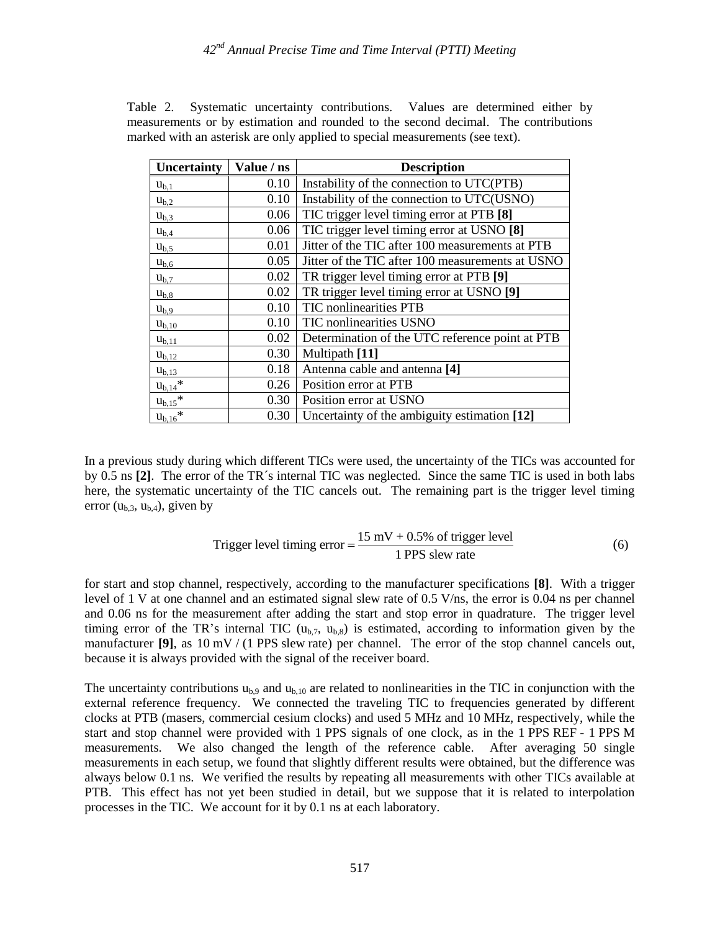| Uncertainty             | Value / ns | <b>Description</b>                               |  |  |
|-------------------------|------------|--------------------------------------------------|--|--|
| $u_{b,1}$               | 0.10       | Instability of the connection to UTC(PTB)        |  |  |
| $u_{b,2}$               | 0.10       | Instability of the connection to UTC(USNO)       |  |  |
| $u_{b,3}$               | 0.06       | TIC trigger level timing error at PTB [8]        |  |  |
| $u_{b,4}$               | 0.06       | TIC trigger level timing error at USNO [8]       |  |  |
| $u_{b,5}$               | 0.01       | Jitter of the TIC after 100 measurements at PTB  |  |  |
| $u_{b,6}$               | 0.05       | Jitter of the TIC after 100 measurements at USNO |  |  |
| $u_{b,7}$               | 0.02       | TR trigger level timing error at PTB [9]         |  |  |
| $u_{b,8}$               | 0.02       | TR trigger level timing error at USNO [9]        |  |  |
| $u_{b,9}$               | 0.10       | TIC nonlinearities PTB                           |  |  |
| $u_{b,10}$              | 0.10       | TIC nonlinearities USNO                          |  |  |
| $u_{b,11}$              | 0.02       | Determination of the UTC reference point at PTB  |  |  |
| $u_{b,12}$              | 0.30       | Multipath [11]                                   |  |  |
| $u_{b,13}$              | 0.18       | Antenna cable and antenna [4]                    |  |  |
| $u_{b,14}$ *            | 0.26       | Position error at PTB                            |  |  |
| $u_{b,15}$ *            | 0.30       | Position error at USNO                           |  |  |
| $u_{b,16}$ <sup>*</sup> | 0.30       | Uncertainty of the ambiguity estimation [12]     |  |  |

Table 2. Systematic uncertainty contributions. Values are determined either by measurements or by estimation and rounded to the second decimal. The contributions marked with an asterisk are only applied to special measurements (see text).

In a previous study during which different TICs were used, the uncertainty of the TICs was accounted for by 0.5 ns **[2]**. The error of the TR´s internal TIC was neglected. Since the same TIC is used in both labs here, the systematic uncertainty of the TIC cancels out. The remaining part is the trigger level timing error  $(u<sub>b</sub>, 3, u<sub>b</sub>, 4)$ , given by

Trigger level timing error = 
$$
\frac{15 \text{ mV} + 0.5\% \text{ of trigger level}}{1 \text{ PPS slew rate}}
$$
 (6)

for start and stop channel, respectively, according to the manufacturer specifications **[8]**. With a trigger level of 1 V at one channel and an estimated signal slew rate of 0.5 V/ns, the error is 0.04 ns per channel and 0.06 ns for the measurement after adding the start and stop error in quadrature. The trigger level timing error of the TR's internal TIC  $(u_{b7}, u_{b8})$  is estimated, according to information given by the manufacturer **[9]**, as 10 mV / (1 PPS slew rate) per channel. The error of the stop channel cancels out, because it is always provided with the signal of the receiver board.

The uncertainty contributions  $u_{b,9}$  and  $u_{b,10}$  are related to nonlinearities in the TIC in conjunction with the external reference frequency. We connected the traveling TIC to frequencies generated by different clocks at PTB (masers, commercial cesium clocks) and used 5 MHz and 10 MHz, respectively, while the start and stop channel were provided with 1 PPS signals of one clock, as in the 1 PPS REF - 1 PPS M measurements. We also changed the length of the reference cable. After averaging 50 single measurements in each setup, we found that slightly different results were obtained, but the difference was always below 0.1 ns. We verified the results by repeating all measurements with other TICs available at PTB. This effect has not yet been studied in detail, but we suppose that it is related to interpolation processes in the TIC. We account for it by 0.1 ns at each laboratory.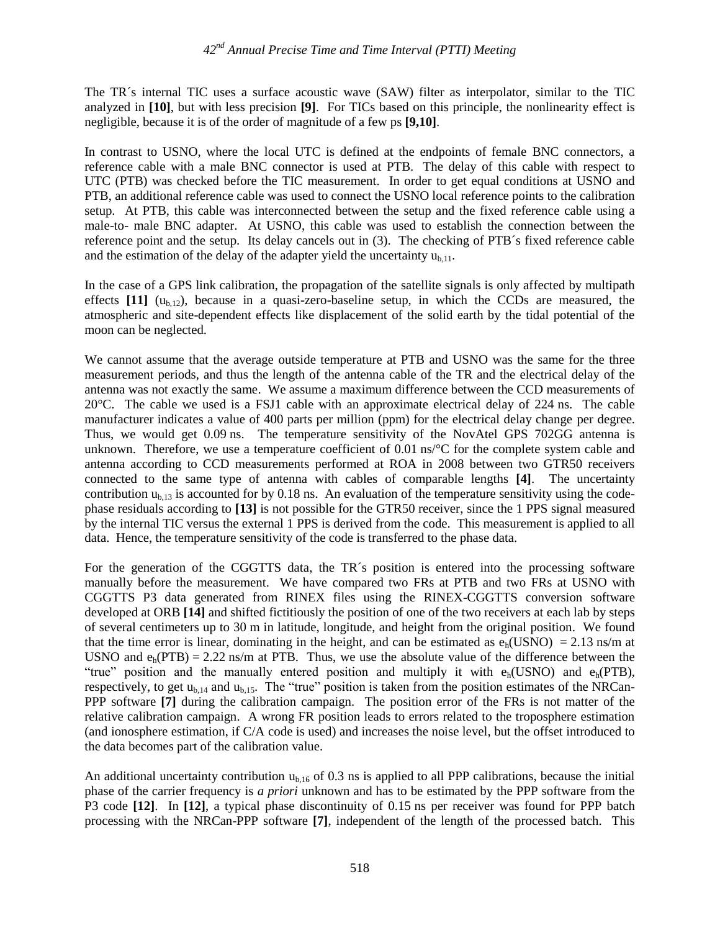The TR´s internal TIC uses a surface acoustic wave (SAW) filter as interpolator, similar to the TIC analyzed in **[10]**, but with less precision **[9]**. For TICs based on this principle, the nonlinearity effect is negligible, because it is of the order of magnitude of a few ps **[9,10]**.

In contrast to USNO, where the local UTC is defined at the endpoints of female BNC connectors, a reference cable with a male BNC connector is used at PTB. The delay of this cable with respect to UTC (PTB) was checked before the TIC measurement. In order to get equal conditions at USNO and PTB, an additional reference cable was used to connect the USNO local reference points to the calibration setup. At PTB, this cable was interconnected between the setup and the fixed reference cable using a male-to- male BNC adapter. At USNO, this cable was used to establish the connection between the reference point and the setup. Its delay cancels out in (3). The checking of PTB´s fixed reference cable and the estimation of the delay of the adapter yield the uncertainty  $u_{h,11}$ .

In the case of a GPS link calibration, the propagation of the satellite signals is only affected by multipath effects  $[11]$  ( $u_{b,12}$ ), because in a quasi-zero-baseline setup, in which the CCDs are measured, the atmospheric and site-dependent effects like displacement of the solid earth by the tidal potential of the moon can be neglected.

We cannot assume that the average outside temperature at PTB and USNO was the same for the three measurement periods, and thus the length of the antenna cable of the TR and the electrical delay of the antenna was not exactly the same. We assume a maximum difference between the CCD measurements of 20°C. The cable we used is a FSJ1 cable with an approximate electrical delay of 224 ns. The cable manufacturer indicates a value of 400 parts per million (ppm) for the electrical delay change per degree. Thus, we would get 0.09 ns. The temperature sensitivity of the NovAtel GPS 702GG antenna is unknown. Therefore, we use a temperature coefficient of 0.01 ns/°C for the complete system cable and antenna according to CCD measurements performed at ROA in 2008 between two GTR50 receivers connected to the same type of antenna with cables of comparable lengths **[4]**. The uncertainty contribution  $u_{b,13}$  is accounted for by 0.18 ns. An evaluation of the temperature sensitivity using the codephase residuals according to **[13]** is not possible for the GTR50 receiver, since the 1 PPS signal measured by the internal TIC versus the external 1 PPS is derived from the code. This measurement is applied to all data. Hence, the temperature sensitivity of the code is transferred to the phase data.

For the generation of the CGGTTS data, the TR´s position is entered into the processing software manually before the measurement. We have compared two FRs at PTB and two FRs at USNO with CGGTTS P3 data generated from RINEX files using the RINEX-CGGTTS conversion software developed at ORB **[14]** and shifted fictitiously the position of one of the two receivers at each lab by steps of several centimeters up to 30 m in latitude, longitude, and height from the original position. We found that the time error is linear, dominating in the height, and can be estimated as  $e<sub>h</sub>(USNO) = 2.13$  ns/m at USNO and  $e_h(PTB) = 2.22$  ns/m at PTB. Thus, we use the absolute value of the difference between the "true" position and the manually entered position and multiply it with  $e_h(USNO)$  and  $e_h(PTB)$ , respectively, to get  $u_{b,14}$  and  $u_{b,15}$ . The "true" position is taken from the position estimates of the NRCan-PPP software **[7]** during the calibration campaign. The position error of the FRs is not matter of the relative calibration campaign. A wrong FR position leads to errors related to the troposphere estimation (and ionosphere estimation, if C/A code is used) and increases the noise level, but the offset introduced to the data becomes part of the calibration value.

An additional uncertainty contribution  $u_{b,16}$  of 0.3 ns is applied to all PPP calibrations, because the initial phase of the carrier frequency is *a priori* unknown and has to be estimated by the PPP software from the P3 code **[12]**. In **[12]**, a typical phase discontinuity of 0.15 ns per receiver was found for PPP batch processing with the NRCan-PPP software **[7]**, independent of the length of the processed batch. This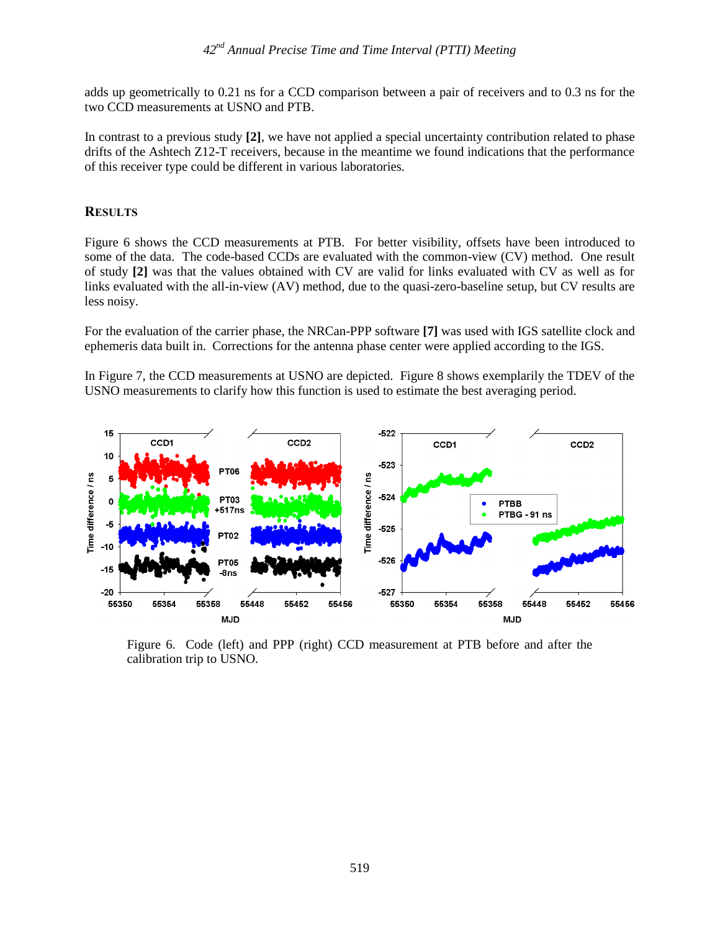adds up geometrically to 0.21 ns for a CCD comparison between a pair of receivers and to 0.3 ns for the two CCD measurements at USNO and PTB.

In contrast to a previous study **[2]**, we have not applied a special uncertainty contribution related to phase drifts of the Ashtech Z12-T receivers, because in the meantime we found indications that the performance of this receiver type could be different in various laboratories.

#### **RESULTS**

Figure 6 shows the CCD measurements at PTB. For better visibility, offsets have been introduced to some of the data. The code-based CCDs are evaluated with the common-view (CV) method. One result of study **[2]** was that the values obtained with CV are valid for links evaluated with CV as well as for links evaluated with the all-in-view (AV) method, due to the quasi-zero-baseline setup, but CV results are less noisy.

For the evaluation of the carrier phase, the NRCan-PPP software **[7]** was used with IGS satellite clock and ephemeris data built in. Corrections for the antenna phase center were applied according to the IGS.

In Figure 7, the CCD measurements at USNO are depicted. Figure 8 shows exemplarily the TDEV of the USNO measurements to clarify how this function is used to estimate the best averaging period.



Figure 6. Code (left) and PPP (right) CCD measurement at PTB before and after the calibration trip to USNO.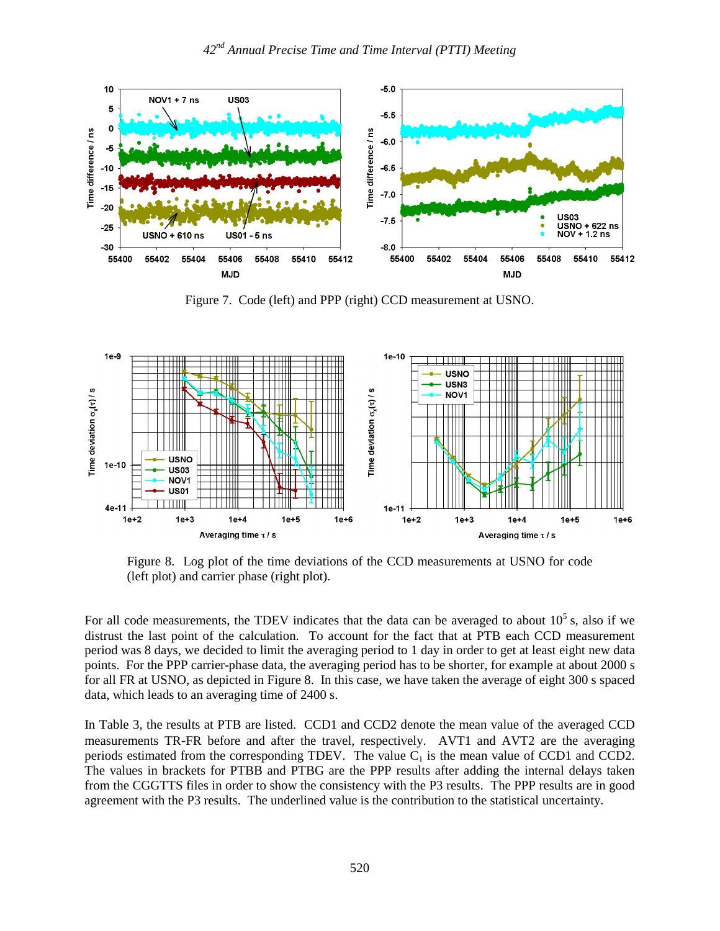

Figure 7. Code (left) and PPP (right) CCD measurement at USNO.



Figure 8. Log plot of the time deviations of the CCD measurements at USNO for code (left plot) and carrier phase (right plot).

For all code measurements, the TDEV indicates that the data can be averaged to about  $10^5$  s, also if we distrust the last point of the calculation. To account for the fact that at PTB each CCD measurement period was 8 days, we decided to limit the averaging period to 1 day in order to get at least eight new data points. For the PPP carrier-phase data, the averaging period has to be shorter, for example at about 2000 s for all FR at USNO, as depicted in Figure 8. In this case, we have taken the average of eight 300 s spaced data, which leads to an averaging time of 2400 s.

In Table 3, the results at PTB are listed. CCD1 and CCD2 denote the mean value of the averaged CCD measurements TR-FR before and after the travel, respectively. AVT1 and AVT2 are the averaging periods estimated from the corresponding TDEV. The value  $C_1$  is the mean value of CCD1 and CCD2. The values in brackets for PTBB and PTBG are the PPP results after adding the internal delays taken from the CGGTTS files in order to show the consistency with the P3 results. The PPP results are in good agreement with the P3 results. The underlined value is the contribution to the statistical uncertainty.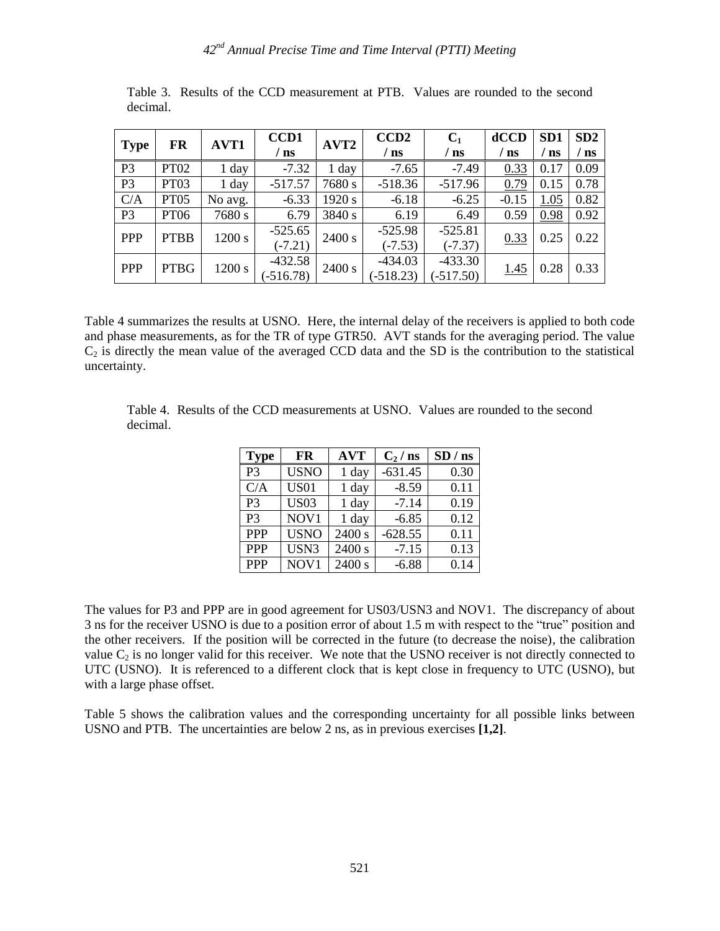| FR<br><b>Type</b>         |                  | AVT1        | CCD1           | AVT <sub>2</sub> | CCD <sub>2</sub> | $C_1$       | dCCD    | SD <sub>1</sub> | SD2  |
|---------------------------|------------------|-------------|----------------|------------------|------------------|-------------|---------|-----------------|------|
|                           |                  |             | $^{\prime}$ ns |                  | $^{\prime}$ ns   | / ns        | ns      | ns              | ' ns |
| P <sub>3</sub>            | <b>PT02</b>      | 1 day       | $-7.32$        | 1 day            | $-7.65$          | $-7.49$     | 0.33    | 0.17            | 0.09 |
| P <sub>3</sub>            | PT03             | 1 day       | $-517.57$      | 7680 s           | $-518.36$        | $-517.96$   | 0.79    | 0.15            | 0.78 |
| C/A                       | PT <sub>05</sub> | No avg.     | $-6.33$        | 1920 s           | $-6.18$          | $-6.25$     | $-0.15$ | 1.05            | 0.82 |
| P <sub>3</sub>            | <b>PT06</b>      | 7680 s      | 6.79           | 3840 s           | 6.19             | 6.49        | 0.59    | 0.98            | 0.92 |
| <b>PPP</b>                | <b>PTBB</b>      | 1200 s      | $-525.65$      | 2400 s           | $-525.98$        | $-525.81$   | 0.33    | 0.25            | 0.22 |
|                           |                  | $(-7.21)$   |                | $(-7.53)$        | $(-7.37)$        |             |         |                 |      |
| <b>PPP</b><br><b>PTBG</b> | 1200 s           | $-432.58$   | 2400 s         | $-434.03$        | $-433.30$        | <u>1.45</u> | 0.28    | 0.33            |      |
|                           |                  | $(-516.78)$ |                | $(-518.23)$      | $(-517.50)$      |             |         |                 |      |

Table 3. Results of the CCD measurement at PTB. Values are rounded to the second decimal.

Table 4 summarizes the results at USNO. Here, the internal delay of the receivers is applied to both code and phase measurements, as for the TR of type GTR50. AVT stands for the averaging period. The value  $C<sub>2</sub>$  is directly the mean value of the averaged CCD data and the SD is the contribution to the statistical uncertainty.

Table 4. Results of the CCD measurements at USNO. Values are rounded to the second decimal.

| <b>Type</b>    | FR          | <b>AVT</b> | $C_2/ns$  | SD / ns |
|----------------|-------------|------------|-----------|---------|
| P <sub>3</sub> | <b>USNO</b> | 1 day      | $-631.45$ | 0.30    |
| C/A            | <b>US01</b> | 1 day      | $-8.59$   | 0.11    |
| P <sub>3</sub> | <b>US03</b> | 1 day      | $-7.14$   | 0.19    |
| P <sub>3</sub> | NOV1        | 1 day      | $-6.85$   | 0.12    |
| <b>PPP</b>     | <b>USNO</b> | 2400 s     | $-628.55$ | 0.11    |
| <b>PPP</b>     | USN3        | 2400 s     | $-7.15$   | 0.13    |
| <b>PPP</b>     | NOV1        | 2400 s     | $-6.88$   | 0.14    |

The values for P3 and PPP are in good agreement for US03/USN3 and NOV1. The discrepancy of about 3 ns for the receiver USNO is due to a position error of about 1.5 m with respect to the "true" position and the other receivers. If the position will be corrected in the future (to decrease the noise), the calibration value  $C_2$  is no longer valid for this receiver. We note that the USNO receiver is not directly connected to UTC (USNO). It is referenced to a different clock that is kept close in frequency to UTC (USNO), but with a large phase offset.

Table 5 shows the calibration values and the corresponding uncertainty for all possible links between USNO and PTB. The uncertainties are below 2 ns, as in previous exercises **[1,2]**.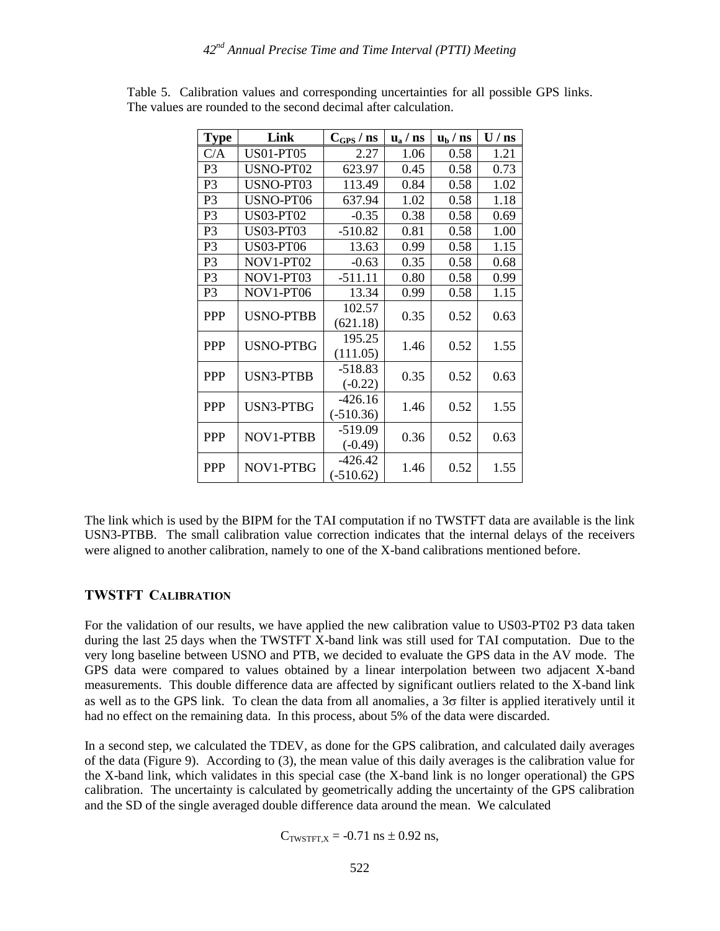| <b>Type</b>    | Link             | $C_{\text{GPS}}$ / ns | $\mathbf{u}_\mathrm{a}$ / ns | $\mathbf{u}_b / \mathbf{n}$ s | $U/$ ns |
|----------------|------------------|-----------------------|------------------------------|-------------------------------|---------|
| C/A            | <b>US01-PT05</b> | 2.27                  | 1.06                         | 0.58                          | 1.21    |
| P <sub>3</sub> | USNO-PT02        | 623.97                | 0.45                         | 0.58                          | 0.73    |
| P <sub>3</sub> | USNO-PT03        | 113.49                | 0.84                         | 0.58                          | 1.02    |
| P <sub>3</sub> | USNO-PT06        | 637.94                | 1.02                         | 0.58                          | 1.18    |
| P <sub>3</sub> | <b>US03-PT02</b> | $-0.35$               | 0.38                         | 0.58                          | 0.69    |
| P <sub>3</sub> | <b>US03-PT03</b> | $-510.82$             | 0.81                         | 0.58                          | 1.00    |
| P <sub>3</sub> | <b>US03-PT06</b> | 13.63                 | 0.99                         | 0.58                          | 1.15    |
| P <sub>3</sub> | NOV1-PT02        | $-0.63$               | 0.35                         | 0.58                          | 0.68    |
| P <sub>3</sub> | NOV1-PT03        | $-511.11$             | 0.80                         | 0.58                          | 0.99    |
| P <sub>3</sub> | NOV1-PT06        | 13.34                 | 0.99                         | 0.58                          | 1.15    |
| <b>PPP</b>     | <b>USNO-PTBB</b> | 102.57                | 0.35                         | 0.52                          | 0.63    |
|                |                  | (621.18)              |                              |                               |         |
| <b>PPP</b>     | <b>USNO-PTBG</b> | 195.25                | 1.46                         | 0.52                          | 1.55    |
|                |                  | (111.05)              |                              |                               |         |
| <b>PPP</b>     | <b>USN3-PTBB</b> | $-518.83$             | 0.35                         | 0.52                          | 0.63    |
|                |                  | $(-0.22)$             |                              |                               |         |
| <b>PPP</b>     | <b>USN3-PTBG</b> | $-426.16$             | 1.46                         | 0.52                          | 1.55    |
|                |                  | $(-510.36)$           |                              |                               |         |
| <b>PPP</b>     | NOV1-PTBB        | $-519.09$             | 0.36                         | 0.52                          | 0.63    |
|                |                  | $(-0.49)$             |                              |                               |         |
| <b>PPP</b>     | NOV1-PTBG        | $-426.42$             | 1.46                         | 0.52                          | 1.55    |
|                |                  | $(-510.62)$           |                              |                               |         |

Table 5. Calibration values and corresponding uncertainties for all possible GPS links. The values are rounded to the second decimal after calculation.

The link which is used by the BIPM for the TAI computation if no TWSTFT data are available is the link USN3-PTBB. The small calibration value correction indicates that the internal delays of the receivers were aligned to another calibration, namely to one of the X-band calibrations mentioned before.

#### **TWSTFT CALIBRATION**

For the validation of our results, we have applied the new calibration value to US03-PT02 P3 data taken during the last 25 days when the TWSTFT X-band link was still used for TAI computation. Due to the very long baseline between USNO and PTB, we decided to evaluate the GPS data in the AV mode. The GPS data were compared to values obtained by a linear interpolation between two adjacent X-band measurements. This double difference data are affected by significant outliers related to the X-band link as well as to the GPS link. To clean the data from all anomalies, a  $3\sigma$  filter is applied iteratively until it had no effect on the remaining data. In this process, about 5% of the data were discarded.

In a second step, we calculated the TDEV, as done for the GPS calibration, and calculated daily averages of the data (Figure 9). According to (3), the mean value of this daily averages is the calibration value for the X-band link, which validates in this special case (the X-band link is no longer operational) the GPS calibration. The uncertainty is calculated by geometrically adding the uncertainty of the GPS calibration and the SD of the single averaged double difference data around the mean. We calculated

$$
C_{TWSTFT,X} = -0.71
$$
 ns  $\pm$  0.92 ns,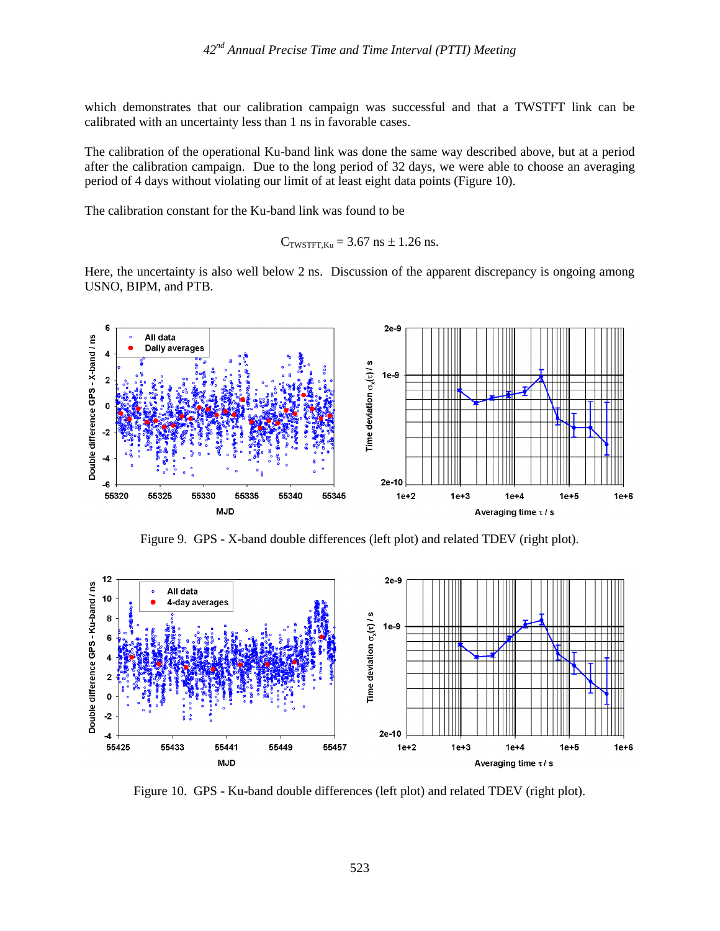which demonstrates that our calibration campaign was successful and that a TWSTFT link can be calibrated with an uncertainty less than 1 ns in favorable cases.

The calibration of the operational Ku-band link was done the same way described above, but at a period after the calibration campaign. Due to the long period of 32 days, we were able to choose an averaging period of 4 days without violating our limit of at least eight data points (Figure 10).

The calibration constant for the Ku-band link was found to be

$$
C_{\text{TWSTFT,Ku}} = 3.67 \text{ ns} \pm 1.26 \text{ ns}.
$$

Here, the uncertainty is also well below 2 ns. Discussion of the apparent discrepancy is ongoing among USNO, BIPM, and PTB.



Figure 9. GPS - X-band double differences (left plot) and related TDEV (right plot).



Figure 10. GPS - Ku-band double differences (left plot) and related TDEV (right plot).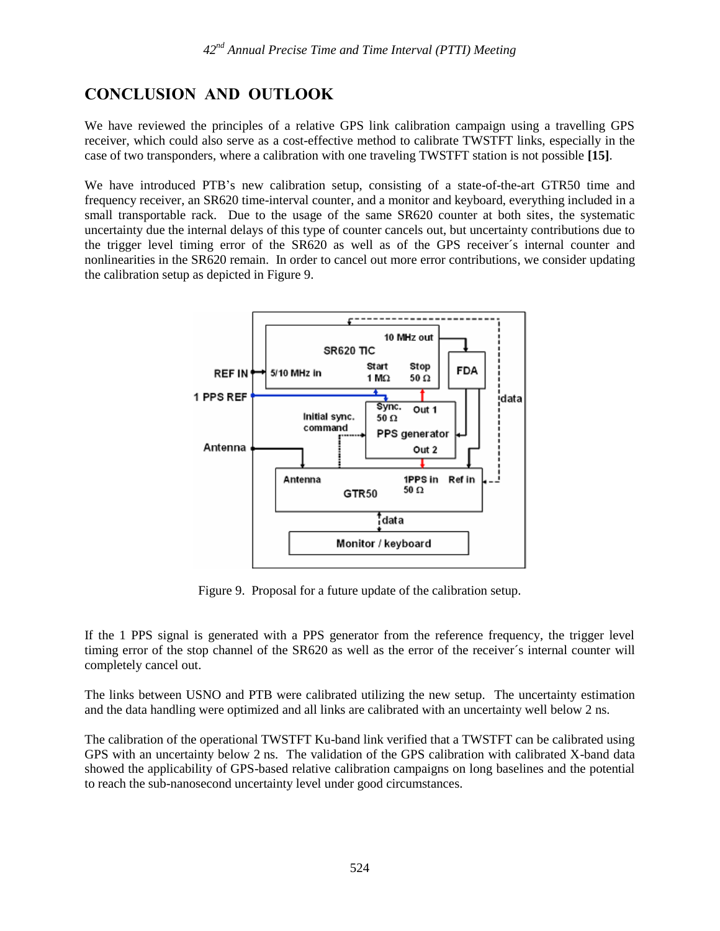# **CONCLUSION AND OUTLOOK**

We have reviewed the principles of a relative GPS link calibration campaign using a travelling GPS receiver, which could also serve as a cost-effective method to calibrate TWSTFT links, especially in the case of two transponders, where a calibration with one traveling TWSTFT station is not possible **[15]**.

We have introduced PTB's new calibration setup, consisting of a state-of-the-art GTR50 time and frequency receiver, an SR620 time-interval counter, and a monitor and keyboard, everything included in a small transportable rack. Due to the usage of the same SR620 counter at both sites, the systematic uncertainty due the internal delays of this type of counter cancels out, but uncertainty contributions due to the trigger level timing error of the SR620 as well as of the GPS receiver´s internal counter and nonlinearities in the SR620 remain. In order to cancel out more error contributions, we consider updating the calibration setup as depicted in Figure 9.



Figure 9. Proposal for a future update of the calibration setup.

If the 1 PPS signal is generated with a PPS generator from the reference frequency, the trigger level timing error of the stop channel of the SR620 as well as the error of the receiver´s internal counter will completely cancel out.

The links between USNO and PTB were calibrated utilizing the new setup. The uncertainty estimation and the data handling were optimized and all links are calibrated with an uncertainty well below 2 ns.

The calibration of the operational TWSTFT Ku-band link verified that a TWSTFT can be calibrated using GPS with an uncertainty below 2 ns. The validation of the GPS calibration with calibrated X-band data showed the applicability of GPS-based relative calibration campaigns on long baselines and the potential to reach the sub-nanosecond uncertainty level under good circumstances.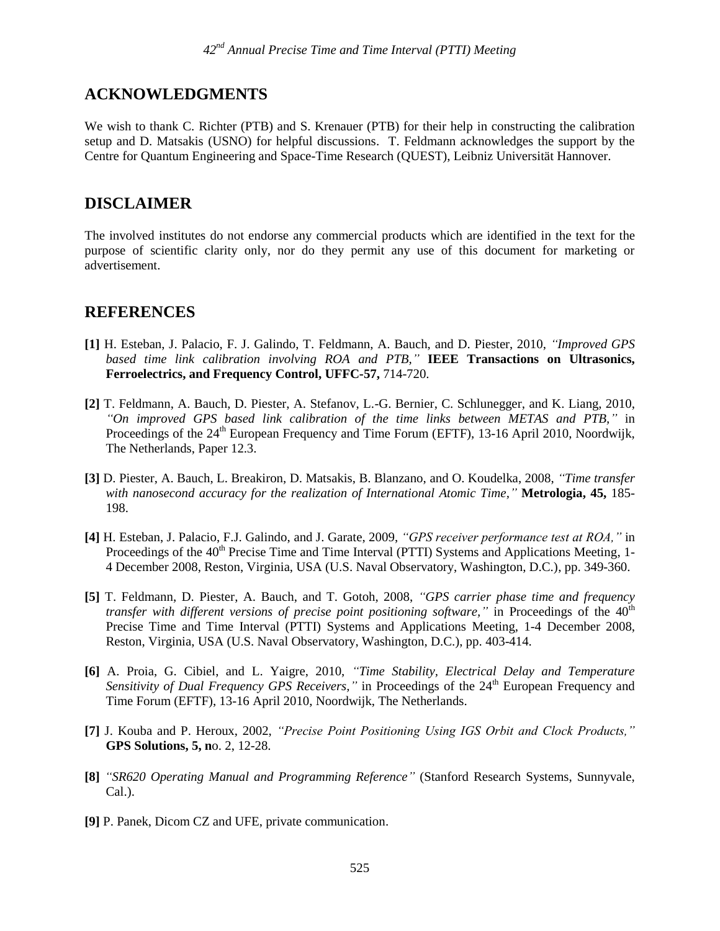### **ACKNOWLEDGMENTS**

We wish to thank C. Richter (PTB) and S. Krenauer (PTB) for their help in constructing the calibration setup and D. Matsakis (USNO) for helpful discussions. T. Feldmann acknowledges the support by the Centre for Quantum Engineering and Space-Time Research (QUEST), Leibniz Universität Hannover.

### **DISCLAIMER**

The involved institutes do not endorse any commercial products which are identified in the text for the purpose of scientific clarity only, nor do they permit any use of this document for marketing or advertisement.

### **REFERENCES**

- **[1]** H. Esteban, J. Palacio, F. J. Galindo, T. Feldmann, A. Bauch, and D. Piester, 2010, *"Improved GPS based time link calibration involving ROA and PTB,"* **IEEE Transactions on Ultrasonics, Ferroelectrics, and Frequency Control, UFFC-57,** 714-720.
- **[2]** T. Feldmann, A. Bauch, D. Piester, A. Stefanov, L.-G. Bernier, C. Schlunegger, and K. Liang, 2010, *"On improved GPS based link calibration of the time links between METAS and PTB,"* in Proceedings of the 24<sup>th</sup> European Frequency and Time Forum (EFTF), 13-16 April 2010, Noordwijk, The Netherlands, Paper 12.3.
- **[3]** D. Piester, A. Bauch, L. Breakiron, D. Matsakis, B. Blanzano, and O. Koudelka, 2008, *"Time transfer with nanosecond accuracy for the realization of International Atomic Time,"* **Metrologia, 45,** 185- 198.
- **[4]** H. Esteban, J. Palacio, F.J. Galindo, and J. Garate, 2009, *"GPS receiver performance test at ROA,"* in Proceedings of the 40<sup>th</sup> Precise Time and Time Interval (PTTI) Systems and Applications Meeting, 1-4 December 2008, Reston, Virginia, USA (U.S. Naval Observatory, Washington, D.C.), pp. 349-360.
- **[5]** T. Feldmann, D. Piester, A. Bauch, and T. Gotoh, 2008, *"GPS carrier phase time and frequency transfer with different versions of precise point positioning software,"* in Proceedings of the 40<sup>th</sup> Precise Time and Time Interval (PTTI) Systems and Applications Meeting, 1-4 December 2008, Reston, Virginia, USA (U.S. Naval Observatory, Washington, D.C.), pp. 403-414.
- **[6]** A. Proia, G. Cibiel, and L. Yaigre, 2010, *"Time Stability, Electrical Delay and Temperature Sensitivity of Dual Frequency GPS Receivers,*" in Proceedings of the 24<sup>th</sup> European Frequency and Time Forum (EFTF), 13-16 April 2010, Noordwijk, The Netherlands.
- **[7]** J. Kouba and P. Heroux, 2002, *"Precise Point Positioning Using IGS Orbit and Clock Products,"* **GPS Solutions, 5, n**o. 2, 12-28.
- **[8]** *"SR620 Operating Manual and Programming Reference"* (Stanford Research Systems, Sunnyvale, Cal.).
- **[9]** P. Panek, Dicom CZ and UFE, private communication.